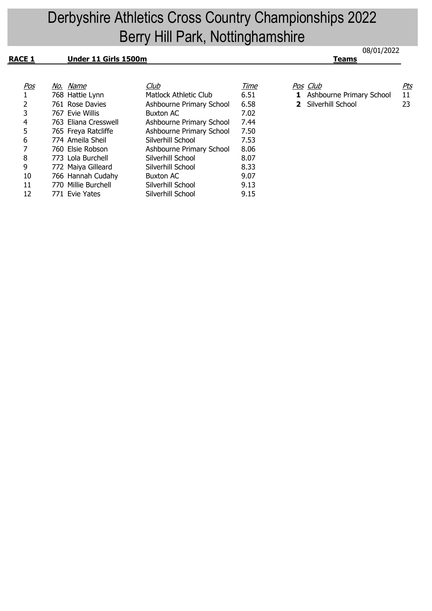## 08/01/2022 Derbyshire Athletics Cross Country Championships 2022 Berry Hill Park, Nottinghamshire

| <b>RACE 1</b> | Under 11 Girls 1500m |                          |             | Teams                             |            |
|---------------|----------------------|--------------------------|-------------|-----------------------------------|------------|
|               |                      |                          |             |                                   |            |
| <u>Pos</u>    | No. Name             | <u>Club</u>              | <u>Time</u> | <u>Pos Club</u>                   | <u>Pts</u> |
|               | 768 Hattie Lynn      | Matlock Athletic Club    | 6.51        | <b>1</b> Ashbourne Primary School | 11         |
| 2             | 761 Rose Davies      | Ashbourne Primary School | 6.58        | 2 Silverhill School               | 23         |
| 3             | 767 Evie Willis      | <b>Buxton AC</b>         | 7.02        |                                   |            |
| 4             | 763 Eliana Cresswell | Ashbourne Primary School | 7.44        |                                   |            |
| 5             | 765 Freya Ratcliffe  | Ashbourne Primary School | 7.50        |                                   |            |
| 6             | 774 Ameila Sheil     | Silverhill School        | 7.53        |                                   |            |
|               | 760 Elsie Robson     | Ashbourne Primary School | 8.06        |                                   |            |
| 8             | 773 Lola Burchell    | Silverhill School        | 8.07        |                                   |            |
| 9             | 772 Maiya Gilleard   | Silverhill School        | 8.33        |                                   |            |
| 10            | 766 Hannah Cudahy    | <b>Buxton AC</b>         | 9.07        |                                   |            |
| 11            | 770 Millie Burchell  | Silverhill School        | 9.13        |                                   |            |
| 12            | 771 Evie Yates       | Silverhill School        | 9.15        |                                   |            |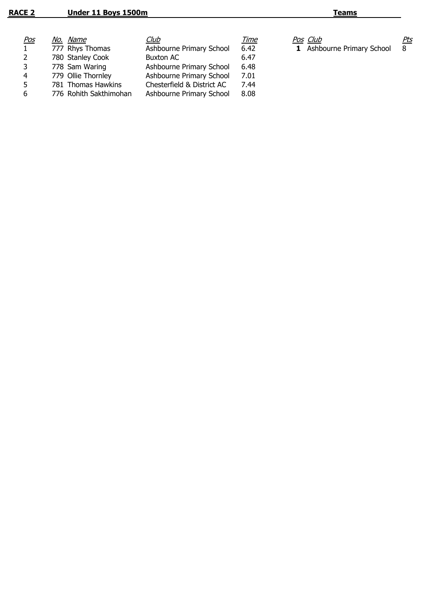- 
-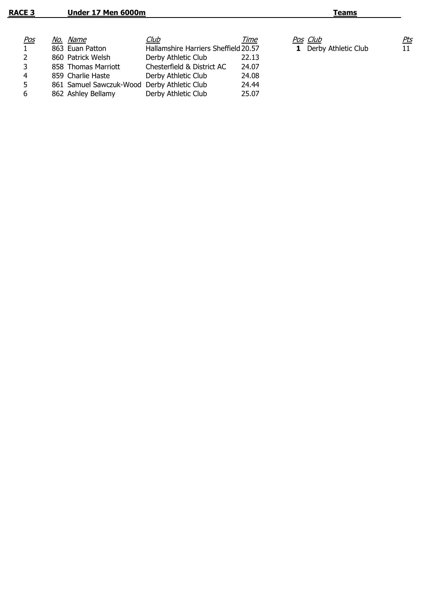| <u>Pos</u> | No. Name                                    | <u>Club</u>                          | Time  | Pos Club                     | <u>Pts</u>      |
|------------|---------------------------------------------|--------------------------------------|-------|------------------------------|-----------------|
|            | 863 Euan Patton                             | Hallamshire Harriers Sheffield 20.57 |       | <b>1</b> Derby Athletic Club | 11 <sub>1</sub> |
|            | 860 Patrick Welsh                           | Derby Athletic Club                  | 22.13 |                              |                 |
| 3          | 858 Thomas Marriott                         | Chesterfield & District AC           | 24.07 |                              |                 |
| 4          | 859 Charlie Haste                           | Derby Athletic Club                  | 24.08 |                              |                 |
| 5.         | 861 Samuel Sawczuk-Wood Derby Athletic Club |                                      | 24.44 |                              |                 |
| 6          | 862 Ashley Bellamy                          | Derby Athletic Club                  | 25.07 |                              |                 |
|            |                                             |                                      |       |                              |                 |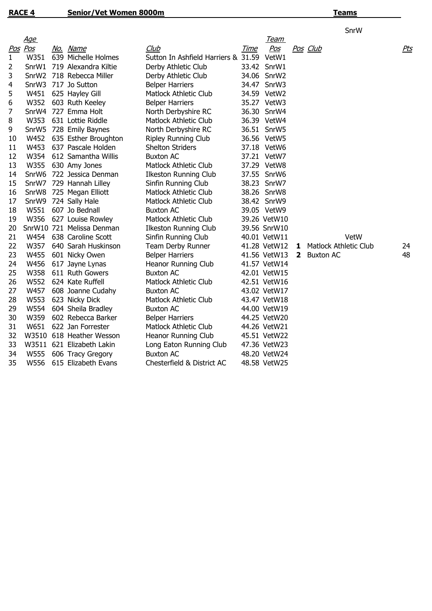|    |            |                           |                                           |             |              |              |                              | SnrW |            |
|----|------------|---------------------------|-------------------------------------------|-------------|--------------|--------------|------------------------------|------|------------|
|    | <u>Age</u> |                           |                                           |             | <u>Team</u>  |              |                              |      |            |
|    | Pos Pos    | No. Name                  | Club                                      | <b>Time</b> | Pos          |              | <u>Pos Club</u>              |      | <u>Pts</u> |
| 1  | W351       | 639 Michelle Holmes       | Sutton In Ashfield Harriers & 31.59 VetW1 |             |              |              |                              |      |            |
| 2  | SnrW1      | 719 Alexandra Kiltie      | Derby Athletic Club                       |             | 33.42 SnrW1  |              |                              |      |            |
| 3  |            | SnrW2 718 Rebecca Miller  | Derby Athletic Club                       |             | 34.06 SnrW2  |              |                              |      |            |
| 4  |            | SnrW3 717 Jo Sutton       | <b>Belper Harriers</b>                    |             | 34.47 SnrW3  |              |                              |      |            |
| 5  |            | W451 625 Hayley Gill      | <b>Matlock Athletic Club</b>              |             | 34.59 VetW2  |              |                              |      |            |
| 6  | W352       | 603 Ruth Keeley           | <b>Belper Harriers</b>                    |             | 35.27 VetW3  |              |                              |      |            |
| 7  |            | SnrW4 727 Emma Holt       | North Derbyshire RC                       |             | 36.30 SnrW4  |              |                              |      |            |
| 8  |            | W353 631 Lottie Riddle    | Matlock Athletic Club                     |             | 36.39 VetW4  |              |                              |      |            |
| 9  |            | SnrW5 728 Emily Baynes    | North Derbyshire RC                       |             | 36.51 SnrW5  |              |                              |      |            |
| 10 |            | W452 635 Esther Broughton | <b>Ripley Running Club</b>                |             | 36.56 VetW5  |              |                              |      |            |
| 11 |            | W453 637 Pascale Holden   | <b>Shelton Striders</b>                   |             | 37.18 VetW6  |              |                              |      |            |
| 12 |            | W354 612 Samantha Willis  | <b>Buxton AC</b>                          |             | 37.21 VetW7  |              |                              |      |            |
| 13 |            | W355 630 Amy Jones        | <b>Matlock Athletic Club</b>              |             | 37.29 VetW8  |              |                              |      |            |
| 14 |            | SnrW6 722 Jessica Denman  | <b>Ilkeston Running Club</b>              |             | 37.55 SnrW6  |              |                              |      |            |
| 15 |            | SnrW7 729 Hannah Lilley   | Sinfin Running Club                       |             | 38.23 SnrW7  |              |                              |      |            |
| 16 |            | SnrW8 725 Megan Elliott   | <b>Matlock Athletic Club</b>              |             | 38.26 SnrW8  |              |                              |      |            |
| 17 |            | SnrW9 724 Sally Hale      | <b>Matlock Athletic Club</b>              |             | 38.42 SnrW9  |              |                              |      |            |
| 18 | W551       | 607 Jo Bednall            | <b>Buxton AC</b>                          |             | 39.05 VetW9  |              |                              |      |            |
| 19 | W356       | 627 Louise Rowley         | Matlock Athletic Club                     |             | 39.26 VetW10 |              |                              |      |            |
| 20 |            | SnrW10 721 Melissa Denman | <b>Ilkeston Running Club</b>              |             | 39.56 SnrW10 |              |                              |      |            |
| 21 | W454       | 638 Caroline Scott        | Sinfin Running Club                       |             | 40.01 VetW11 |              |                              | VetW |            |
| 22 | W357       | 640 Sarah Huskinson       | Team Derby Runner                         |             | 41.28 VetW12 | 1            | <b>Matlock Athletic Club</b> |      | 24         |
| 23 | W455       | 601 Nicky Owen            | <b>Belper Harriers</b>                    |             | 41.56 VetW13 | $\mathbf{2}$ | <b>Buxton AC</b>             |      | 48         |
| 24 | W456       | 617 Jayne Lynas           | Heanor Running Club                       |             | 41.57 VetW14 |              |                              |      |            |
| 25 | W358       | 611 Ruth Gowers           | <b>Buxton AC</b>                          |             | 42.01 VetW15 |              |                              |      |            |
| 26 | W552       | 624 Kate Ruffell          | <b>Matlock Athletic Club</b>              |             | 42.51 VetW16 |              |                              |      |            |
| 27 | W457       | 608 Joanne Cudahy         | <b>Buxton AC</b>                          |             | 43.02 VetW17 |              |                              |      |            |
| 28 | W553       | 623 Nicky Dick            | <b>Matlock Athletic Club</b>              |             | 43.47 VetW18 |              |                              |      |            |
| 29 | W554       | 604 Sheila Bradley        | <b>Buxton AC</b>                          |             | 44.00 VetW19 |              |                              |      |            |
| 30 | W359       | 602 Rebecca Barker        | <b>Belper Harriers</b>                    |             | 44.25 VetW20 |              |                              |      |            |
| 31 | W651       | 622 Jan Forrester         | <b>Matlock Athletic Club</b>              |             | 44.26 VetW21 |              |                              |      |            |
| 32 |            | W3510 618 Heather Wesson  | Heanor Running Club                       |             | 45.51 VetW22 |              |                              |      |            |
| 33 |            | W3511 621 Elizabeth Lakin | Long Eaton Running Club                   |             | 47.36 VetW23 |              |                              |      |            |
| 34 | W555       | 606 Tracy Gregory         | <b>Buxton AC</b>                          |             | 48.20 VetW24 |              |                              |      |            |
| 35 | W556       | 615 Elizabeth Evans       | Chesterfield & District AC                |             | 48.58 VetW25 |              |                              |      |            |

## **Teams**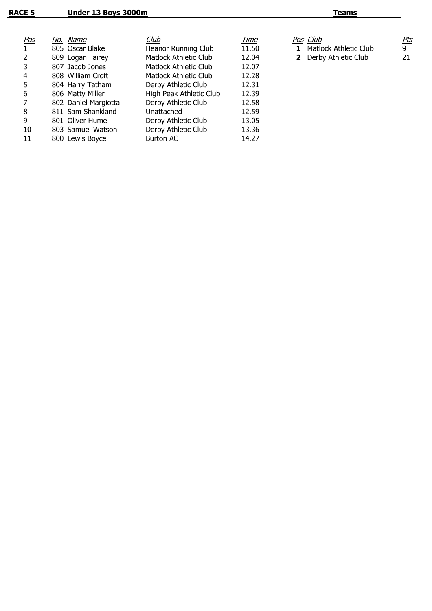| <u>Pos</u> | No. Name             | <u>Club</u>             | Time  | Pos Club              | <u>Pts</u> |
|------------|----------------------|-------------------------|-------|-----------------------|------------|
|            | 805 Oscar Blake      | Heanor Running Club     | 11.50 | Matlock Athletic Club | 9          |
|            | 809 Logan Fairey     | Matlock Athletic Club   | 12.04 | 2 Derby Athletic Club | 21         |
|            | 807 Jacob Jones      | Matlock Athletic Club   | 12.07 |                       |            |
| 4          | 808 William Croft    | Matlock Athletic Club   | 12.28 |                       |            |
| 5          | 804 Harry Tatham     | Derby Athletic Club     | 12.31 |                       |            |
| 6          | 806 Matty Miller     | High Peak Athletic Club | 12.39 |                       |            |
|            | 802 Daniel Margiotta | Derby Athletic Club     | 12.58 |                       |            |
| 8          | 811 Sam Shankland    | Unattached              | 12.59 |                       |            |
| 9          | 801 Oliver Hume      | Derby Athletic Club     | 13.05 |                       |            |
| 10         | 803 Samuel Watson    | Derby Athletic Club     | 13.36 |                       |            |
| 11         | 800 Lewis Boyce      | Burton AC               | 14.27 |                       |            |
|            |                      |                         |       |                       |            |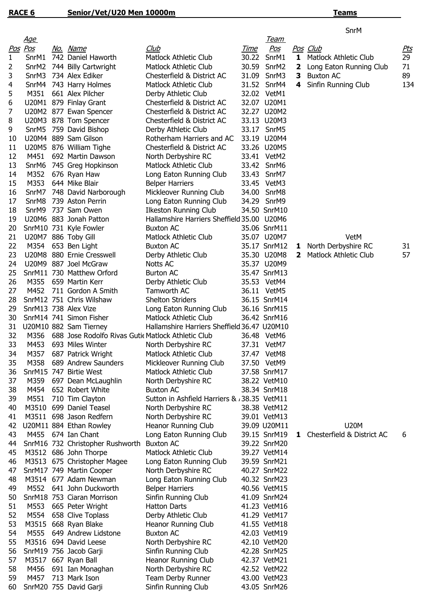## **Teams**

SnrM

|    | <u>Age</u>        |                                                    |                                             |             | <b>Team</b>       |              |                              |            |
|----|-------------------|----------------------------------------------------|---------------------------------------------|-------------|-------------------|--------------|------------------------------|------------|
|    | Pos Pos           | No. Name                                           | Club                                        | <u>Time</u> | <u>Pos</u>        |              | Pos Club                     | <u>Pts</u> |
| 1  | SnrM1             | 742 Daniel Haworth                                 | <b>Matlock Athletic Club</b>                | 30.22       | SnrM1             | 1            | <b>Matlock Athletic Club</b> | 29         |
| 2  | SnrM <sub>2</sub> | 744 Billy Cartwright                               | Matlock Athletic Club                       | 30.59       | SnrM <sub>2</sub> | 2            | Long Eaton Running Club      | 71         |
| 3  | SnrM3             | 734 Alex Ediker                                    | Chesterfield & District AC                  | 31.09       | SnrM3             | з            | <b>Buxton AC</b>             | 89         |
| 4  | SnrM4             | 743 Harry Holmes                                   | Matlock Athletic Club                       |             | 31.52 SnrM4       | 4            | Sinfin Running Club          | 134        |
| 5  | M351              | 661 Alex Pilcher                                   | Derby Athletic Club                         |             | 32.02 VetM1       |              |                              |            |
| 6  |                   | U20M1 879 Finlay Grant                             | Chesterfield & District AC                  |             | 32.07 U20M1       |              |                              |            |
| 7  |                   | U20M2 877 Ewan Spencer                             | Chesterfield & District AC                  |             | 32.27 U20M2       |              |                              |            |
| 8  |                   | U20M3 878 Tom Spencer                              | Chesterfield & District AC                  |             | 33.13 U20M3       |              |                              |            |
| 9  |                   | SnrM5 759 David Bishop                             | Derby Athletic Club                         |             | 33.17 SnrM5       |              |                              |            |
| 10 |                   | U20M4 889 Sam Gilson                               | Rotherham Harriers and AC                   |             | 33.19 U20M4       |              |                              |            |
| 11 |                   | U20M5 876 William Tighe                            | Chesterfield & District AC                  |             | 33.26 U20M5       |              |                              |            |
| 12 | M451              | 692 Martin Dawson                                  | North Derbyshire RC                         |             | 33.41 VetM2       |              |                              |            |
| 13 | SnrM6             | 745 Greg Hopkinson                                 | Matlock Athletic Club                       |             | 33.42 SnrM6       |              |                              |            |
| 14 | M352              | 676 Ryan Haw                                       | Long Eaton Running Club                     |             | 33.43 SnrM7       |              |                              |            |
| 15 | M353              | 644 Mike Blair                                     | <b>Belper Harriers</b>                      |             | 33.45 VetM3       |              |                              |            |
| 16 | SnrM7             | 748 David Narborough                               | Mickleover Running Club                     | 34.00       | SnrM8             |              |                              |            |
| 17 | SnrM8             | 739 Aston Perrin                                   | Long Eaton Running Club                     |             | 34.29 SnrM9       |              |                              |            |
| 18 | SnrM9             | 737 Sam Owen                                       | <b>Ilkeston Running Club</b>                |             | 34.50 SnrM10      |              |                              |            |
| 19 |                   | U20M6 883 Jonah Patton                             | Hallamshire Harriers Sheffield 35.00 U20M6  |             |                   |              |                              |            |
| 20 |                   | SnrM10 731 Kyle Fowler                             | <b>Buxton AC</b>                            |             | 35.06 SnrM11      |              |                              |            |
| 21 |                   | U20M7 886 Toby Gill                                | <b>Matlock Athletic Club</b>                |             | 35.07 U20M7       |              | VetM                         |            |
| 22 | M354              | 653 Ben Light                                      | <b>Buxton AC</b>                            |             | 35.17 SnrM12      | 1.           | North Derbyshire RC          | 31         |
| 23 |                   | U20M8 880 Ernie Cresswell                          | Derby Athletic Club                         |             | 35.30 U20M8       | $\mathbf{2}$ | <b>Matlock Athletic Club</b> | 57         |
| 24 |                   | U20M9 887 Joel McGraw                              | Notts AC                                    |             | 35.37 U20M9       |              |                              |            |
| 25 |                   | SnrM11 730 Matthew Orford                          | <b>Burton AC</b>                            |             | 35.47 SnrM13      |              |                              |            |
| 26 | M355              | 659 Martin Kerr                                    | Derby Athletic Club                         |             | 35.53 VetM4       |              |                              |            |
| 27 | M452              | 711 Gordon A Smith                                 | Tamworth AC                                 |             | 36.11 VetM5       |              |                              |            |
| 28 |                   | SnrM12 751 Chris Wilshaw                           | <b>Shelton Striders</b>                     |             | 36.15 SnrM14      |              |                              |            |
| 29 |                   | SnrM13 738 Alex Vize                               | Long Eaton Running Club                     |             | 36.16 SnrM15      |              |                              |            |
| 30 |                   | SnrM14 741 Simon Fisher                            | <b>Matlock Athletic Club</b>                |             | 36.42 SnrM16      |              |                              |            |
| 31 |                   | U20M10 882 Sam Tierney                             | Hallamshire Harriers Sheffield 36.47 U20M10 |             |                   |              |                              |            |
| 32 | M356              | 688 Jose Rodolfo Rivas Gutic Matlock Athletic Club |                                             |             | 36.48 VetM6       |              |                              |            |
| 33 | M453              | 693 Miles Winter                                   | North Derbyshire RC                         |             | 37.31 VetM7       |              |                              |            |
| 34 | M357              | 687 Patrick Wright                                 | Matlock Athletic Club                       |             | 37.47 VetM8       |              |                              |            |
| 35 | M358              | 689 Andrew Saunders                                | Mickleover Running Club                     |             | 37.50 VetM9       |              |                              |            |
| 36 |                   | SnrM15 747 Birtie West                             | Matlock Athletic Club                       |             | 37.58 SnrM17      |              |                              |            |
| 37 | M359              | 697 Dean McLaughlin                                | North Derbyshire RC                         |             | 38.22 VetM10      |              |                              |            |
| 38 | M454              | 652 Robert White                                   | <b>Buxton AC</b>                            |             | 38.34 SnrM18      |              |                              |            |
| 39 | M551              | 710 Tim Clayton                                    | Sutton in Ashfield Harriers & 38.35 VetM11  |             |                   |              |                              |            |
| 40 |                   | M3510 699 Daniel Teasel                            | North Derbyshire RC                         |             | 38.38 VetM12      |              |                              |            |
| 41 |                   | M3511 698 Jason Redfern                            | North Derbyshire RC                         |             | 39.01 VetM13      |              |                              |            |
| 42 |                   | U20M11 884 Ethan Rowley                            | Heanor Running Club                         |             | 39.09 U20M11      |              | <b>U20M</b>                  |            |
| 43 |                   | M455 674 Ian Chant                                 | Long Eaton Running Club                     |             | 39.15 SnrM19      | 1.           | Chesterfield & District AC   | 6          |
| 44 |                   | SnrM16 732 Christopher Rushworth                   | <b>Buxton AC</b>                            |             | 39.22 SnrM20      |              |                              |            |
| 45 |                   | M3512 686 John Thorpe                              | <b>Matlock Athletic Club</b>                |             | 39.27 VetM14      |              |                              |            |
| 46 |                   | M3513 675 Christopher Magee                        | Long Eaton Running Club                     |             | 39.59 SnrM21      |              |                              |            |
| 47 |                   | SnrM17 749 Martin Cooper                           | North Derbyshire RC                         |             | 40.27 SnrM22      |              |                              |            |
| 48 |                   | M3514 677 Adam Newman                              | Long Eaton Running Club                     |             | 40.32 SnrM23      |              |                              |            |
| 49 |                   | M552 641 John Duckworth                            | <b>Belper Harriers</b>                      |             | 40.56 VetM15      |              |                              |            |
| 50 |                   | SnrM18 753 Ciaran Morrison                         | Sinfin Running Club                         |             | 41.09 SnrM24      |              |                              |            |
| 51 | M553              | 665 Peter Wright                                   | Hatton Darts                                |             | 41.23 VetM16      |              |                              |            |
| 52 | M554              | 658 Clive Toplass                                  | Derby Athletic Club                         |             | 41.29 VetM17      |              |                              |            |
| 53 | M3515             | 668 Ryan Blake                                     | Heanor Running Club                         |             | 41.55 VetM18      |              |                              |            |
| 54 | M555              | 649 Andrew Lidstone                                | <b>Buxton AC</b>                            |             | 42.03 VetM19      |              |                              |            |
| 55 |                   | M3516 694 David Leese                              | North Derbyshire RC                         |             | 42.10 VetM20      |              |                              |            |
| 56 |                   | SnrM19 756 Jacob Garji                             | Sinfin Running Club                         |             | 42.28 SnrM25      |              |                              |            |
| 57 |                   | M3517 667 Ryan Ball                                | Heanor Running Club                         |             | 42.37 VetM21      |              |                              |            |
| 58 | M456              | 691 Ian Monaghan                                   | North Derbyshire RC                         |             | 42.52 VetM22      |              |                              |            |
| 59 | M457              | 713 Mark Ison                                      | Team Derby Runner                           |             | 43.00 VetM23      |              |                              |            |
| 60 |                   | SnrM20 755 David Garji                             | Sinfin Running Club                         |             | 43.05 SnrM26      |              |                              |            |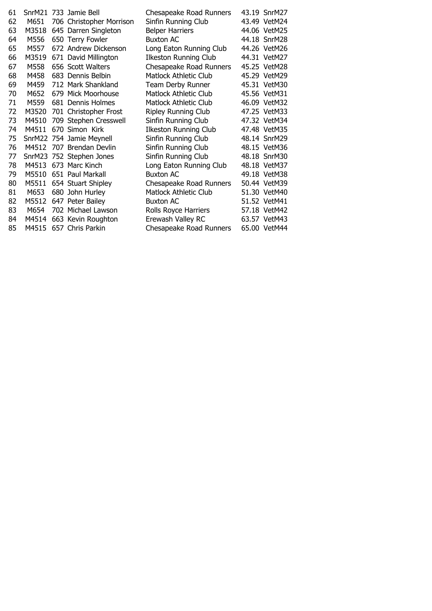| 61 |       | SnrM21 733 Jamie Bell    | Chesapeake Road Runners      | 43.19 SnrM27 |
|----|-------|--------------------------|------------------------------|--------------|
| 62 | M651  | 706 Christopher Morrison | Sinfin Running Club          | 43.49 VetM24 |
| 63 | M3518 | 645 Darren Singleton     | <b>Belper Harriers</b>       | 44.06 VetM25 |
| 64 | M556  | 650 Terry Fowler         | <b>Buxton AC</b>             | 44.18 SnrM28 |
| 65 | M557  | 672 Andrew Dickenson     | Long Eaton Running Club      | 44.26 VetM26 |
| 66 | M3519 | 671 David Millington     | <b>Ilkeston Running Club</b> | 44.31 VetM27 |
| 67 | M558  | 656 Scott Walters        | Chesapeake Road Runners      | 45.25 VetM28 |
| 68 | M458  | 683 Dennis Belbin        | <b>Matlock Athletic Club</b> | 45.29 VetM29 |
| 69 | M459  | 712 Mark Shankland       | Team Derby Runner            | 45.31 VetM30 |
| 70 | M652  | 679 Mick Moorhouse       | Matlock Athletic Club        | 45.56 VetM31 |
| 71 | M559  | 681 Dennis Holmes        | Matlock Athletic Club        | 46.09 VetM32 |
| 72 | M3520 | 701 Christopher Frost    | <b>Ripley Running Club</b>   | 47.25 VetM33 |
| 73 | M4510 | 709 Stephen Cresswell    | Sinfin Running Club          | 47.32 VetM34 |
| 74 | M4511 | 670 Simon Kirk           | <b>Ilkeston Running Club</b> | 47.48 VetM35 |
| 75 |       | SnrM22 754 Jamie Meynell | Sinfin Running Club          | 48.14 SnrM29 |
| 76 |       | M4512 707 Brendan Devlin | Sinfin Running Club          | 48.15 VetM36 |
| 77 |       | SnrM23 752 Stephen Jones | Sinfin Running Club          | 48.18 SnrM30 |
| 78 | M4513 | 673 Marc Kinch           | Long Eaton Running Club      | 48.18 VetM37 |
| 79 | M5510 | 651 Paul Markall         | <b>Buxton AC</b>             | 49.18 VetM38 |
| 80 | M5511 | 654 Stuart Shipley       | Chesapeake Road Runners      | 50.44 VetM39 |
| 81 | M653  | 680 John Hurley          | Matlock Athletic Club        | 51.30 VetM40 |
| 82 | M5512 | 647 Peter Bailey         | <b>Buxton AC</b>             | 51.52 VetM41 |
| 83 | M654  | 702 Michael Lawson       | Rolls Royce Harriers         | 57.18 VetM42 |
| 84 | M4514 | 663 Kevin Roughton       | Erewash Valley RC            | 63.57 VetM43 |
| 85 | M4515 | 657 Chris Parkin         | Chesapeake Road Runners      | 65.00 VetM44 |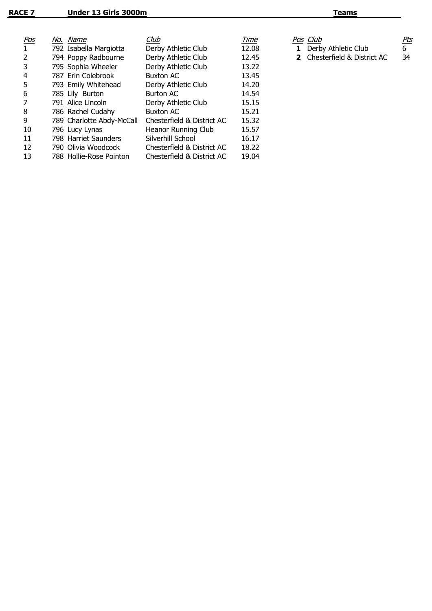| <u>Pos</u>     | No. Name                  | Club                       | Time  | Pos Club                           | <u>Pts</u> |
|----------------|---------------------------|----------------------------|-------|------------------------------------|------------|
| $\mathbf{1}$   | 792 Isabella Margiotta    | Derby Athletic Club        | 12.08 | Derby Athletic Club<br>$\mathbf 1$ | 6          |
| $\overline{2}$ | 794 Poppy Radbourne       | Derby Athletic Club        | 12.45 | 2 Chesterfield & District AC       | 34         |
| 3              | 795 Sophia Wheeler        | Derby Athletic Club        | 13.22 |                                    |            |
| 4              | 787 Erin Colebrook        | <b>Buxton AC</b>           | 13.45 |                                    |            |
| 5              | 793 Emily Whitehead       | Derby Athletic Club        | 14.20 |                                    |            |
| 6              | 785 Lily Burton           | Burton AC                  | 14.54 |                                    |            |
| 7              | 791 Alice Lincoln         | Derby Athletic Club        | 15.15 |                                    |            |
| 8              | 786 Rachel Cudahy         | <b>Buxton AC</b>           | 15.21 |                                    |            |
| 9              | 789 Charlotte Abdy-McCall | Chesterfield & District AC | 15.32 |                                    |            |
| 10             | 796 Lucy Lynas            | Heanor Running Club        | 15.57 |                                    |            |
| 11             | 798 Harriet Saunders      | Silverhill School          | 16.17 |                                    |            |
| 12             | 790 Olivia Woodcock       | Chesterfield & District AC | 18.22 |                                    |            |
| 13             | 788 Hollie-Rose Pointon   | Chesterfield & District AC | 19.04 |                                    |            |
|                |                           |                            |       |                                    |            |

- 
- 2 Chesterfield & District AC 34
-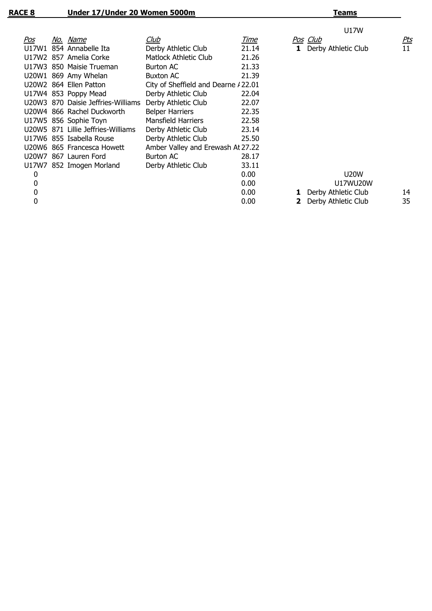|       |                                    |                                      |       | U17W                |            |
|-------|------------------------------------|--------------------------------------|-------|---------------------|------------|
| Pos   | No. Name                           | Club                                 | Time  | Pos Club            | <u>Pts</u> |
| U17W1 | 854 Annabelle Ita                  | Derby Athletic Club                  | 21.14 | Derby Athletic Club | 11         |
|       | U17W2 857 Amelia Corke             | Matlock Athletic Club                | 21.26 |                     |            |
|       | U17W3 850 Maisie Trueman           | <b>Burton AC</b>                     | 21.33 |                     |            |
|       | U20W1 869 Amy Whelan               | <b>Buxton AC</b>                     | 21.39 |                     |            |
|       | U20W2 864 Ellen Patton             | City of Sheffield and Dearne / 22.01 |       |                     |            |
|       | U17W4 853 Poppy Mead               | Derby Athletic Club                  | 22.04 |                     |            |
|       | U20W3 870 Daisie Jeffries-Williams | Derby Athletic Club                  | 22.07 |                     |            |
|       | U20W4 866 Rachel Duckworth         | <b>Belper Harriers</b>               | 22.35 |                     |            |
|       | U17W5 856 Sophie Toyn              | Mansfield Harriers                   | 22.58 |                     |            |
|       | U20W5 871 Lillie Jeffries-Williams | Derby Athletic Club                  | 23.14 |                     |            |
|       | U17W6 855 Isabella Rouse           | Derby Athletic Club                  | 25.50 |                     |            |
|       | U20W6 865 Francesca Howett         | Amber Valley and Erewash At 27.22    |       |                     |            |
|       | U20W7 867 Lauren Ford              | Burton AC                            | 28.17 |                     |            |
|       | U17W7 852 Imogen Morland           | Derby Athletic Club                  | 33.11 |                     |            |
| 0     |                                    |                                      | 0.00  | U20W                |            |
| 0     |                                    |                                      | 0.00  | U17WU20W            |            |
| 0     |                                    |                                      | 0.00  | Derby Athletic Club | 14         |
| 0     |                                    |                                      | 0.00  | Derby Athletic Club | 35         |
|       |                                    |                                      |       |                     |            |

**Teams**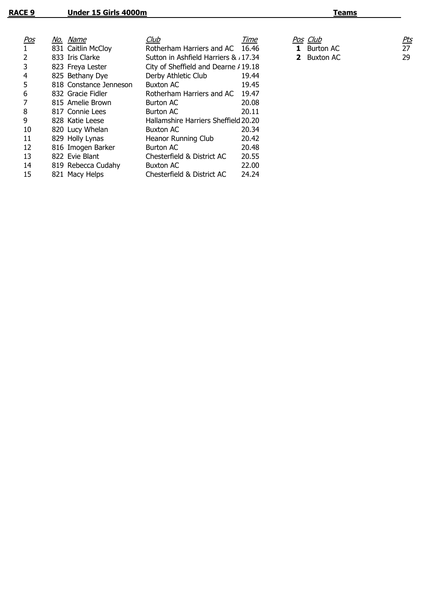| <u>Pos</u> | No. Name               | Club                                 | Time  | Pos Club              | <u>Pts</u> |
|------------|------------------------|--------------------------------------|-------|-----------------------|------------|
|            | 831 Caitlin McCloy     | Rotherham Harriers and AC 16.46      |       | <b>Burton AC</b><br>1 | 27         |
|            | 833 Iris Clarke        | Sutton in Ashfield Harriers & 17.34  |       | <b>2</b> Buxton AC    | 29         |
| 3          | 823 Freya Lester       | City of Sheffield and Dearne / 19.18 |       |                       |            |
| 4          | 825 Bethany Dye        | Derby Athletic Club                  | 19.44 |                       |            |
| 5          | 818 Constance Jenneson | <b>Buxton AC</b>                     | 19.45 |                       |            |
| 6          | 832 Gracie Fidler      | Rotherham Harriers and AC            | 19.47 |                       |            |
|            | 815 Amelie Brown       | <b>Burton AC</b>                     | 20.08 |                       |            |
| 8          | 817 Connie Lees        | <b>Burton AC</b>                     | 20.11 |                       |            |
| 9          | 828 Katie Leese        | Hallamshire Harriers Sheffield 20.20 |       |                       |            |
| 10         | 820 Lucy Whelan        | <b>Buxton AC</b>                     | 20.34 |                       |            |
| 11         | 829 Holly Lynas        | Heanor Running Club                  | 20.42 |                       |            |
| 12         | 816 Imogen Barker      | <b>Burton AC</b>                     | 20.48 |                       |            |
| 13         | 822 Evie Blant         | Chesterfield & District AC           | 20.55 |                       |            |
| 14         | 819 Rebecca Cudahy     | <b>Buxton AC</b>                     | 22.00 |                       |            |
| 15         | 821 Macy Helps         | Chesterfield & District AC           | 24.24 |                       |            |
|            |                        |                                      |       |                       |            |

| <u>os Club</u> | Pts |
|----------------|-----|
| 1 Burton AC    | -27 |
| 2 Buxton AC    | 29  |